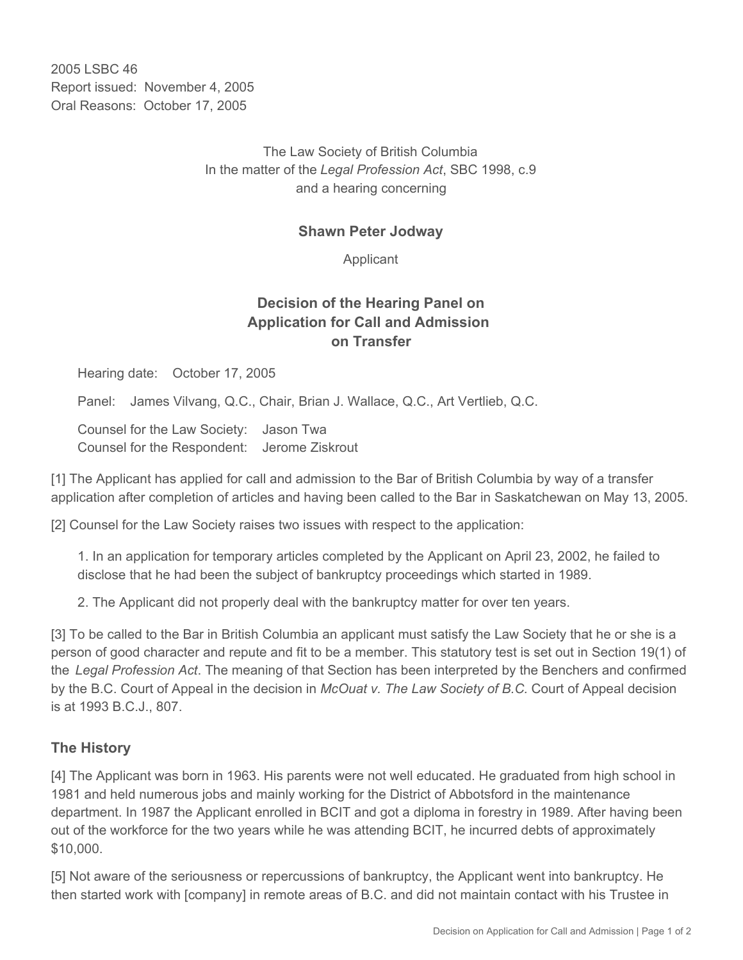2005 LSBC 46 Report issued: November 4, 2005 Oral Reasons: October 17, 2005

> The Law Society of British Columbia In the matter of the *Legal Profession Act*, SBC 1998, c.9 and a hearing concerning

## **Shawn Peter Jodway**

Applicant

## **Decision of the Hearing Panel on Application for Call and Admission on Transfer**

Hearing date: October 17, 2005

Panel: James Vilvang, Q.C., Chair, Brian J. Wallace, Q.C., Art Vertlieb, Q.C.

Counsel for the Law Society: Jason Twa Counsel for the Respondent: Jerome Ziskrout

[1] The Applicant has applied for call and admission to the Bar of British Columbia by way of a transfer application after completion of articles and having been called to the Bar in Saskatchewan on May 13, 2005.

[2] Counsel for the Law Society raises two issues with respect to the application:

1. In an application for temporary articles completed by the Applicant on April 23, 2002, he failed to disclose that he had been the subject of bankruptcy proceedings which started in 1989.

2. The Applicant did not properly deal with the bankruptcy matter for over ten years.

[3] To be called to the Bar in British Columbia an applicant must satisfy the Law Society that he or she is a person of good character and repute and fit to be a member. This statutory test is set out in Section 19(1) of the *Legal Profession Act*. The meaning of that Section has been interpreted by the Benchers and confirmed by the B.C. Court of Appeal in the decision in *McOuat v. The Law Society of B.C.* Court of Appeal decision is at 1993 B.C.J., 807.

## **The History**

[4] The Applicant was born in 1963. His parents were not well educated. He graduated from high school in 1981 and held numerous jobs and mainly working for the District of Abbotsford in the maintenance department. In 1987 the Applicant enrolled in BCIT and got a diploma in forestry in 1989. After having been out of the workforce for the two years while he was attending BCIT, he incurred debts of approximately \$10,000.

[5] Not aware of the seriousness or repercussions of bankruptcy, the Applicant went into bankruptcy. He then started work with [company] in remote areas of B.C. and did not maintain contact with his Trustee in